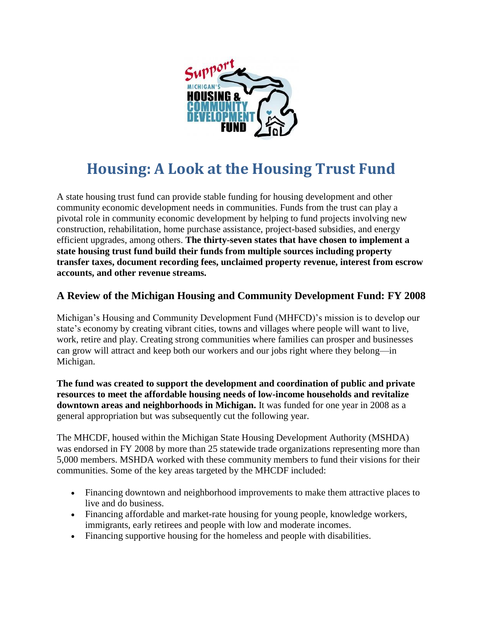

## **Housing: A Look at the Housing Trust Fund**

A state housing trust fund can provide stable funding for housing development and other community economic development needs in communities. Funds from the trust can play a pivotal role in community economic development by helping to fund projects involving new construction, rehabilitation, home purchase assistance, project-based subsidies, and energy efficient upgrades, among others. **The thirty-seven states that have chosen to implement a state housing trust fund build their funds from multiple sources including property transfer taxes, document recording fees, unclaimed property revenue, interest from escrow accounts, and other revenue streams.**

## **A Review of the Michigan Housing and Community Development Fund: FY 2008**

Michigan's Housing and Community Development Fund (MHFCD)'s mission is to develop our state's economy by creating vibrant cities, towns and villages where people will want to live, work, retire and play. Creating strong communities where families can prosper and businesses can grow will attract and keep both our workers and our jobs right where they belong—in Michigan.

**The fund was created to support the development and coordination of public and private resources to meet the affordable housing needs of low-income households and revitalize downtown areas and neighborhoods in Michigan.** It was funded for one year in 2008 as a general appropriation but was subsequently cut the following year.

The MHCDF, housed within the Michigan State Housing Development Authority (MSHDA) was endorsed in FY 2008 by more than 25 statewide trade organizations representing more than 5,000 members. MSHDA worked with these community members to fund their visions for their communities. Some of the key areas targeted by the MHCDF included:

- Financing downtown and neighborhood improvements to make them attractive places to live and do business.
- Financing affordable and market-rate housing for young people, knowledge workers, immigrants, early retirees and people with low and moderate incomes.
- Financing supportive housing for the homeless and people with disabilities.